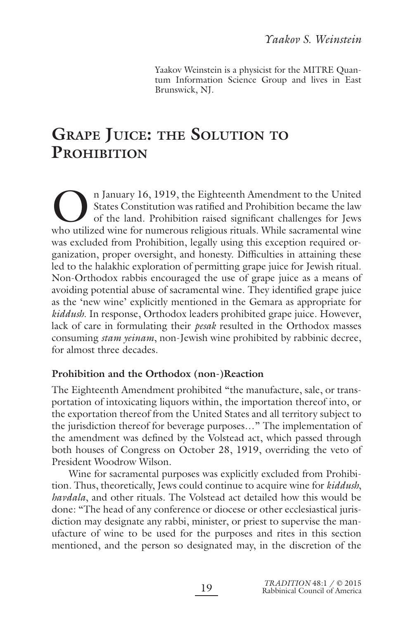Yaakov Weinstein is a physicist for the MITRE Quantum Information Science Group and lives in East Brunswick, NJ.

# **GRAPE JUICE: THE SOLUTION TO PROHIBITION**

In January 16, 1919, the Eighteenth Amendment to the United<br>States Constitution was ratified and Prohibition became the law<br>of the land. Prohibition raised significant challenges for Jews<br>who utilized wine for numerous rel States Constitution was ratified and Prohibition became the law of the land. Prohibition raised significant challenges for Jews who utilized wine for numerous religious rituals. While sacramental wine was excluded from Prohibition, legally using this exception required organization, proper oversight, and honesty. Difficulties in attaining these led to the halakhic exploration of permitting grape juice for Jewish ritual. Non-Orthodox rabbis encouraged the use of grape juice as a means of avoiding potential abuse of sacramental wine. They identified grape juice as the 'new wine' explicitly mentioned in the Gemara as appropriate for *kiddush*. In response, Orthodox leaders prohibited grape juice. However, lack of care in formulating their *pesak* resulted in the Orthodox masses consuming *stam yeinam*, non-Jewish wine prohibited by rabbinic decree, for almost three decades.

# **Prohibition and the Orthodox (non-)Reaction**

The Eighteenth Amendment prohibited "the manufacture, sale, or transportation of intoxicating liquors within, the importation thereof into, or the exportation thereof from the United States and all territory subject to the jurisdiction thereof for beverage purposes…" The implementation of the amendment was defined by the Volstead act, which passed through both houses of Congress on October 28, 1919, overriding the veto of President Woodrow Wilson.

Wine for sacramental purposes was explicitly excluded from Prohibition. Thus, theoretically, Jews could continue to acquire wine for *kiddush*, *havdala*, and other rituals. The Volstead act detailed how this would be done: "The head of any conference or diocese or other ecclesiastical jurisdiction may designate any rabbi, minister, or priest to supervise the manufacture of wine to be used for the purposes and rites in this section mentioned, and the person so designated may, in the discretion of the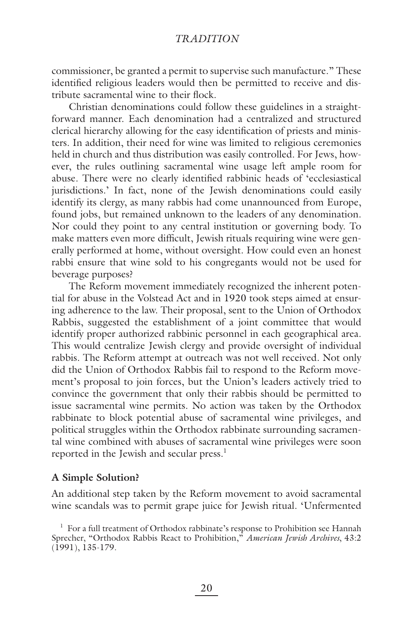commissioner, be granted a permit to supervise such manufacture." These identified religious leaders would then be permitted to receive and distribute sacramental wine to their flock.

Christian denominations could follow these guidelines in a straightforward manner. Each denomination had a centralized and structured clerical hierarchy allowing for the easy identification of priests and ministers. In addition, their need for wine was limited to religious ceremonies held in church and thus distribution was easily controlled. For Jews, however, the rules outlining sacramental wine usage left ample room for abuse. There were no clearly identified rabbinic heads of 'ecclesiastical jurisdictions.' In fact, none of the Jewish denominations could easily identify its clergy, as many rabbis had come unannounced from Europe, found jobs, but remained unknown to the leaders of any denomination. Nor could they point to any central institution or governing body. To make matters even more difficult, Jewish rituals requiring wine were generally performed at home, without oversight. How could even an honest rabbi ensure that wine sold to his congregants would not be used for beverage purposes?

The Reform movement immediately recognized the inherent potential for abuse in the Volstead Act and in 1920 took steps aimed at ensuring adherence to the law. Their proposal, sent to the Union of Orthodox Rabbis, suggested the establishment of a joint committee that would identify proper authorized rabbinic personnel in each geographical area. This would centralize Jewish clergy and provide oversight of individual rabbis. The Reform attempt at outreach was not well received. Not only did the Union of Orthodox Rabbis fail to respond to the Reform movement's proposal to join forces, but the Union's leaders actively tried to convince the government that only their rabbis should be permitted to issue sacramental wine permits. No action was taken by the Orthodox rabbinate to block potential abuse of sacramental wine privileges, and political struggles within the Orthodox rabbinate surrounding sacramental wine combined with abuses of sacramental wine privileges were soon reported in the Jewish and secular press. $<sup>1</sup>$ </sup>

# **A Simple Solution?**

An additional step taken by the Reform movement to avoid sacramental wine scandals was to permit grape juice for Jewish ritual. 'Unfermented

<sup>&</sup>lt;sup>1</sup> For a full treatment of Orthodox rabbinate's response to Prohibition see Hannah Sprecher, "Orthodox Rabbis React to Prohibition," *American Jewish Archives*, 43:2 (1991), 135-179.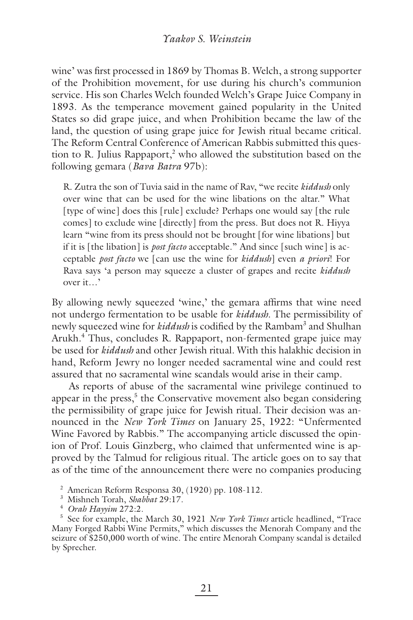wine' was first processed in 1869 by Thomas B. Welch, a strong supporter of the Prohibition movement, for use during his church's communion service. His son Charles Welch founded Welch's Grape Juice Company in 1893. As the temperance movement gained popularity in the United States so did grape juice, and when Prohibition became the law of the land, the question of using grape juice for Jewish ritual became critical. The Reform Central Conference of American Rabbis submitted this question to R. Julius Rappaport,<sup>2</sup> who allowed the substitution based on the following gemara (*Bava Batra* 97b):

R. Zutra the son of Tuvia said in the name of Rav, "we recite *kiddush* only over wine that can be used for the wine libations on the altar." What [type of wine] does this [rule] exclude? Perhaps one would say [the rule comes] to exclude wine [directly] from the press. But does not R. Hiyya learn "wine from its press should not be brought [for wine libations] but if it is [the libation] is *post facto* acceptable." And since [such wine] is acceptable *post facto* we [can use the wine for *kiddush*] even *a priori*! For Rava says 'a person may squeeze a cluster of grapes and recite *kiddush* over it…'

By allowing newly squeezed 'wine,' the gemara affirms that wine need not undergo fermentation to be usable for *kiddush*. The permissibility of newly squeezed wine for *kiddush* is codified by the Rambam<sup>3</sup> and Shulhan Arukh.<sup>4</sup> Thus, concludes R. Rappaport, non-fermented grape juice may be used for *kiddush* and other Jewish ritual. With this halakhic decision in hand, Reform Jewry no longer needed sacramental wine and could rest assured that no sacramental wine scandals would arise in their camp.

As reports of abuse of the sacramental wine privilege continued to appear in the press,<sup>5</sup> the Conservative movement also began considering the permissibility of grape juice for Jewish ritual. Their decision was announced in the *New York Times* on January 25, 1922: "Unfermented Wine Favored by Rabbis." The accompanying article discussed the opinion of Prof. Louis Ginzberg, who claimed that unfermented wine is approved by the Talmud for religious ritual. The article goes on to say that as of the time of the announcement there were no companies producing

2 American Reform Responsa 30, (1920) pp. 108-112.

5 See for example, the March 30, 1921 *New York Times* article headlined, "Trace Many Forged Rabbi Wine Permits," which discusses the Menorah Company and the seizure of \$250,000 worth of wine. The entire Menorah Company scandal is detailed by Sprecher.

<sup>3</sup> Mishneh Torah, *Shabbat* 29:17.

<sup>4</sup> *Orah Hayyim* 272:2.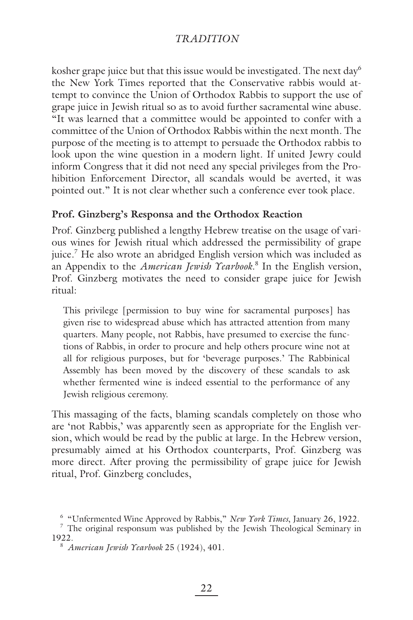kosher grape juice but that this issue would be investigated. The next day  $6\%$ the New York Times reported that the Conservative rabbis would attempt to convince the Union of Orthodox Rabbis to support the use of grape juice in Jewish ritual so as to avoid further sacramental wine abuse. "It was learned that a committee would be appointed to confer with a committee of the Union of Orthodox Rabbis within the next month. The purpose of the meeting is to attempt to persuade the Orthodox rabbis to look upon the wine question in a modern light. If united Jewry could inform Congress that it did not need any special privileges from the Prohibition Enforcement Director, all scandals would be averted, it was pointed out." It is not clear whether such a conference ever took place.

### **Prof. Ginzberg's Responsa and the Orthodox Reaction**

Prof. Ginzberg published a lengthy Hebrew treatise on the usage of various wines for Jewish ritual which addressed the permissibility of grape juice.7 He also wrote an abridged English version which was included as an Appendix to the *American Jewish Yearbook*. 8 In the English version, Prof. Ginzberg motivates the need to consider grape juice for Jewish ritual:

This privilege [permission to buy wine for sacramental purposes] has given rise to widespread abuse which has attracted attention from many quarters. Many people, not Rabbis, have presumed to exercise the functions of Rabbis, in order to procure and help others procure wine not at all for religious purposes, but for 'beverage purposes.' The Rabbinical Assembly has been moved by the discovery of these scandals to ask whether fermented wine is indeed essential to the performance of any Jewish religious ceremony.

This massaging of the facts, blaming scandals completely on those who are 'not Rabbis,' was apparently seen as appropriate for the English version, which would be read by the public at large. In the Hebrew version, presumably aimed at his Orthodox counterparts, Prof. Ginzberg was more direct. After proving the permissibility of grape juice for Jewish ritual, Prof. Ginzberg concludes,

<sup>&</sup>lt;sup>6</sup> "Unfermented Wine Approved by Rabbis," *New York Times*, January 26, 1922.  $\frac{7}{7}$  The original responsum was published by the Jewish Theological Seminary in 1922.

<sup>8</sup> *American Jewish Yearbook* 25 (1924), 401.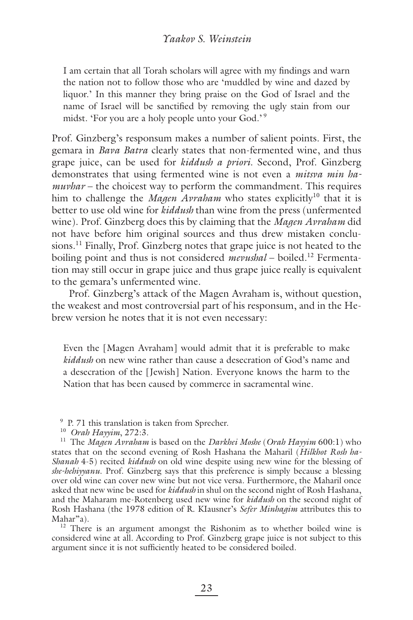I am certain that all Torah scholars will agree with my findings and warn the nation not to follow those who are 'muddled by wine and dazed by liquor.' In this manner they bring praise on the God of Israel and the name of Israel will be sanctified by removing the ugly stain from our midst. 'For you are a holy people unto your God.' 9

Prof. Ginzberg's responsum makes a number of salient points. First, the gemara in *Bava Batra* clearly states that non-fermented wine, and thus grape juice, can be used for *kiddush a priori*. Second, Prof. Ginzberg demonstrates that using fermented wine is not even a *mitsva min hamuvhar* – the choicest way to perform the commandment. This requires him to challenge the *Magen Avraham* who states explicitly<sup>10</sup> that it is better to use old wine for *kiddush* than wine from the press (unfermented wine). Prof. Ginzberg does this by claiming that the *Magen Avraham* did not have before him original sources and thus drew mistaken conclusions.<sup>11</sup> Finally, Prof. Ginzberg notes that grape juice is not heated to the boiling point and thus is not considered *mevushal* – boiled.<sup>12</sup> Fermentation may still occur in grape juice and thus grape juice really is equivalent to the gemara's unfermented wine.

Prof. Ginzberg's attack of the Magen Avraham is, without question, the weakest and most controversial part of his responsum, and in the Hebrew version he notes that it is not even necessary:

Even the [Magen Avraham] would admit that it is preferable to make *kiddush* on new wine rather than cause a desecration of God's name and a desecration of the [Jewish] Nation. Everyone knows the harm to the Nation that has been caused by commerce in sacramental wine.

9 P. 71 this translation is taken from Sprecher.

<sup>10</sup> *Orah Hayyim*, 272:3.

11 The *Magen Avraham* is based on the *Darkhei Moshe* (*Orah Hayyim* 600:1) who states that on the second evening of Rosh Hashana the Maharil (*Hilkhot Rosh ha-Shanah* 4-5) recited *kiddush* on old wine despite using new wine for the blessing of *she-hehiyyanu*. Prof. Ginzberg says that this preference is simply because a blessing over old wine can cover new wine but not vice versa. Furthermore, the Maharil once asked that new wine be used for *kiddush* in shul on the second night of Rosh Hashana, and the Maharam me-Rotenberg used new wine for *kiddush* on the second night of Rosh Hashana (the 1978 edition of R. KIausner's *Sefer Minhagim* attributes this to Mahar"a).

<sup>12</sup> There is an argument amongst the Rishonim as to whether boiled wine is considered wine at all. According to Prof. Ginzberg grape juice is not subject to this argument since it is not sufficiently heated to be considered boiled.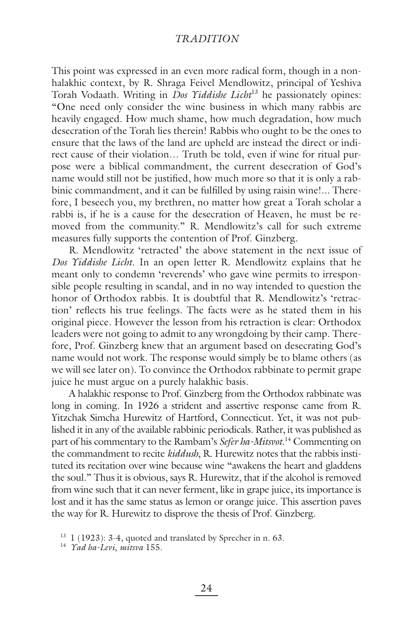This point was expressed in an even more radical form, though in a nonhalakhic context, by R. Shraga Feivel Mendlowitz, principal of Yeshiva Torah Vodaath. Writing in *Dos Yiddishe Licht*13 he passionately opines: "One need only consider the wine business in which many rabbis are heavily engaged. How much shame, how much degradation, how much desecration of the Torah lies therein! Rabbis who ought to be the ones to ensure that the laws of the land are upheld are instead the direct or indirect cause of their violation… Truth be told, even if wine for ritual purpose were a biblical commandment, the current desecration of God's name would still not be justified, how much more so that it is only a rabbinic commandment, and it can be fulfilled by using raisin wine!... Therefore, I beseech you, my brethren, no matter how great a Torah scholar a rabbi is, if he is a cause for the desecration of Heaven, he must be removed from the community." R. Mendlowitz's call for such extreme measures fully supports the contention of Prof. Ginzberg.

R. Mendlowitz 'retracted' the above statement in the next issue of *Dos Yiddishe Licht*. In an open letter R. Mendlowitz explains that he meant only to condemn 'reverends' who gave wine permits to irresponsible people resulting in scandal, and in no way intended to question the honor of Orthodox rabbis. It is doubtful that R. Mendlowitz's 'retraction' reflects his true feelings. The facts were as he stated them in his original piece. However the lesson from his retraction is clear: Orthodox leaders were not going to admit to any wrongdoing by their camp. Therefore, Prof. Ginzberg knew that an argument based on desecrating God's name would not work. The response would simply be to blame others (as we will see later on). To convince the Orthodox rabbinate to permit grape juice he must argue on a purely halakhic basis.

A halakhic response to Prof. Ginzberg from the Orthodox rabbinate was long in coming. In 1926 a strident and assertive response came from R. Yitzchak Simcha Hurewitz of Hartford, Connecticut. Yet, it was not published it in any of the available rabbinic periodicals. Rather, it was published as part of his commentary to the Rambam's *Sefer ha-Mitsvot*. 14 Commenting on the commandment to recite *kiddush*, R. Hurewitz notes that the rabbis instituted its recitation over wine because wine "awakens the heart and gladdens the soul." Thus it is obvious, says R. Hurewitz, that if the alcohol is removed from wine such that it can never ferment, like in grape juice, its importance is lost and it has the same status as lemon or orange juice. This assertion paves the way for R. Hurewitz to disprove the thesis of Prof. Ginzberg.

 $13$  1 (1923): 3-4, quoted and translated by Sprecher in n. 63.

<sup>14</sup> *Yad ha-Levi*, *mitsva* 155.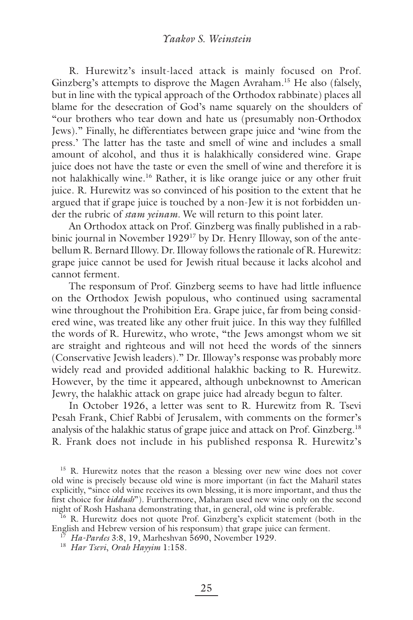R. Hurewitz's insult-laced attack is mainly focused on Prof. Ginzberg's attempts to disprove the Magen Avraham.<sup>15</sup> He also (falsely, but in line with the typical approach of the Orthodox rabbinate) places all blame for the desecration of God's name squarely on the shoulders of "our brothers who tear down and hate us (presumably non-Orthodox Jews)." Finally, he differentiates between grape juice and 'wine from the press.' The latter has the taste and smell of wine and includes a small amount of alcohol, and thus it is halakhically considered wine. Grape juice does not have the taste or even the smell of wine and therefore it is not halakhically wine.<sup>16</sup> Rather, it is like orange juice or any other fruit juice. R. Hurewitz was so convinced of his position to the extent that he argued that if grape juice is touched by a non-Jew it is not forbidden under the rubric of *stam yeinam*. We will return to this point later.

An Orthodox attack on Prof. Ginzberg was finally published in a rabbinic journal in November 1929<sup>17</sup> by Dr. Henry Illoway, son of the antebellum R. Bernard Illowy. Dr. Illoway follows the rationale of R. Hurewitz: grape juice cannot be used for Jewish ritual because it lacks alcohol and cannot ferment.

The responsum of Prof. Ginzberg seems to have had little influence on the Orthodox Jewish populous, who continued using sacramental wine throughout the Prohibition Era. Grape juice, far from being considered wine, was treated like any other fruit juice. In this way they fulfilled the words of R. Hurewitz, who wrote, "the Jews amongst whom we sit are straight and righteous and will not heed the words of the sinners (Conservative Jewish leaders)." Dr. Illoway's response was probably more widely read and provided additional halakhic backing to R. Hurewitz. However, by the time it appeared, although unbeknownst to American Jewry, the halakhic attack on grape juice had already begun to falter.

In October 1926, a letter was sent to R. Hurewitz from R. Tsevi Pesah Frank, Chief Rabbi of Jerusalem, with comments on the former's analysis of the halakhic status of grape juice and attack on Prof. Ginzberg.18 R. Frank does not include in his published responsa R. Hurewitz's

<sup>15</sup> R. Hurewitz notes that the reason a blessing over new wine does not cover old wine is precisely because old wine is more important (in fact the Maharil states explicitly, "since old wine receives its own blessing, it is more important, and thus the first choice for *kiddush*"). Furthermore, Maharam used new wine only on the second night of Rosh Hashana demonstrating that, in general, old wine is preferable.

<sup>16</sup> R. Hurewitz does not quote Prof. Ginzberg's explicit statement (both in the English and Hebrew version of his responsum) that grape juice can ferment.

<sup>17</sup> *Ha-Pardes* 3:8, 19, Marheshvan 5690, November 1929.

<sup>18</sup> *Har Tsevi*, *Orah Hayyim* 1:158.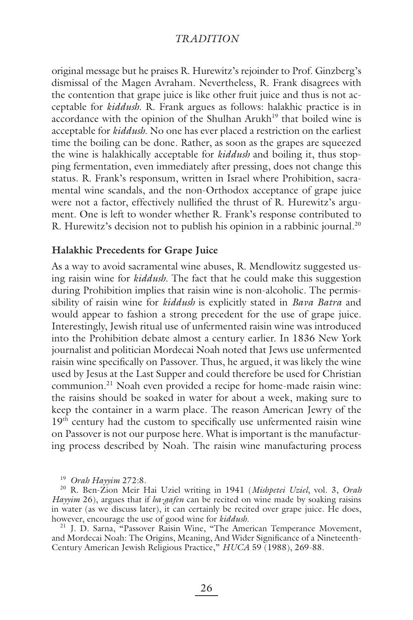original message but he praises R. Hurewitz's rejoinder to Prof. Ginzberg's dismissal of the Magen Avraham. Nevertheless, R. Frank disagrees with the contention that grape juice is like other fruit juice and thus is not acceptable for *kiddush*. R. Frank argues as follows: halakhic practice is in accordance with the opinion of the Shulhan Arukh<sup>19</sup> that boiled wine is acceptable for *kiddush*. No one has ever placed a restriction on the earliest time the boiling can be done. Rather, as soon as the grapes are squeezed the wine is halakhically acceptable for *kiddush* and boiling it, thus stopping fermentation, even immediately after pressing, does not change this status. R. Frank's responsum, written in Israel where Prohibition, sacramental wine scandals, and the non-Orthodox acceptance of grape juice were not a factor, effectively nullified the thrust of R. Hurewitz's argument. One is left to wonder whether R. Frank's response contributed to R. Hurewitz's decision not to publish his opinion in a rabbinic journal.<sup>20</sup>

#### **Halakhic Precedents for Grape Juice**

As a way to avoid sacramental wine abuses, R. Mendlowitz suggested using raisin wine for *kiddush*. The fact that he could make this suggestion during Prohibition implies that raisin wine is non-alcoholic. The permissibility of raisin wine for *kiddush* is explicitly stated in *Bava Batra* and would appear to fashion a strong precedent for the use of grape juice. Interestingly, Jewish ritual use of unfermented raisin wine was introduced into the Prohibition debate almost a century earlier. In 1836 New York journalist and politician Mordecai Noah noted that Jews use unfermented raisin wine specifically on Passover. Thus, he argued, it was likely the wine used by Jesus at the Last Supper and could therefore be used for Christian communion.21 Noah even provided a recipe for home-made raisin wine: the raisins should be soaked in water for about a week, making sure to keep the container in a warm place. The reason American Jewry of the  $19<sup>th</sup>$  century had the custom to specifically use unfermented raisin wine on Passover is not our purpose here. What is important is the manufacturing process described by Noah. The raisin wine manufacturing process

<sup>19</sup> *Orah Hayyim* 272:8.

20 R. Ben-Zion Meir Hai Uziel writing in 1941 (*Mishpetei Uziel*, vol. 3, *Orah Hayyim* 26), argues that if *ha-gafen* can be recited on wine made by soaking raisins in water (as we discuss later), it can certainly be recited over grape juice. He does, however, encourage the use of good wine for *kiddush*.

<sup>21</sup> J. D. Sarna, "Passover Raisin Wine, "The American Temperance Movement, and Mordecai Noah: The Origins, Meaning, And Wider Significance of a Nineteenth-Century American Jewish Religious Practice," *HUCA* 59 (1988), 269-88.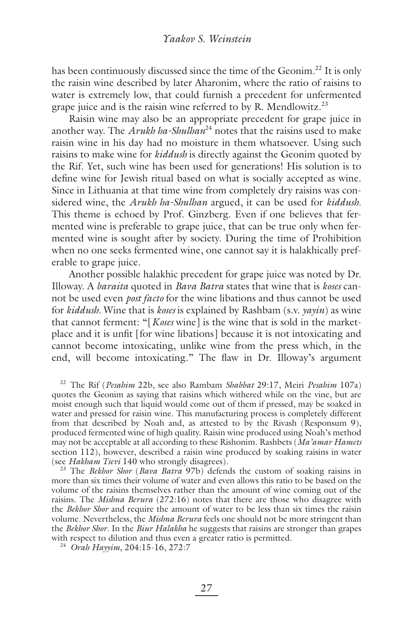has been continuously discussed since the time of the Geonim.<sup>22</sup> It is only the raisin wine described by later Aharonim, where the ratio of raisins to water is extremely low, that could furnish a precedent for unfermented grape juice and is the raisin wine referred to by R. Mendlowitz.<sup>23</sup>

Raisin wine may also be an appropriate precedent for grape juice in another way. The *Arukh ha-Shulhan*<sup>24</sup> notes that the raisins used to make raisin wine in his day had no moisture in them whatsoever. Using such raisins to make wine for *kiddush* is directly against the Geonim quoted by the Rif. Yet, such wine has been used for generations! His solution is to define wine for Jewish ritual based on what is socially accepted as wine. Since in Lithuania at that time wine from completely dry raisins was considered wine, the *Arukh ha-Shulhan* argued, it can be used for *kiddush*. This theme is echoed by Prof. Ginzberg. Even if one believes that fermented wine is preferable to grape juice, that can be true only when fermented wine is sought after by society. During the time of Prohibition when no one seeks fermented wine, one cannot say it is halakhically preferable to grape juice.

Another possible halakhic precedent for grape juice was noted by Dr. Illoway. A *baraita* quoted in *Bava Batra* states that wine that is *koses* cannot be used even *post facto* for the wine libations and thus cannot be used for *kiddush*. Wine that is *koses* is explained by Rashbam (s.v. *yayin*) as wine that cannot ferment: "[*Koses* wine] is the wine that is sold in the marketplace and it is unfit [for wine libations] because it is not intoxicating and cannot become intoxicating, unlike wine from the press which, in the end, will become intoxicating." The flaw in Dr. Illoway's argument

22 The Rif (*Pesahim* 22b, see also Rambam *Shabbat* 29:17, Meiri *Pesahim* 107a) quotes the Geonim as saying that raisins which withered while on the vine, but are moist enough such that liquid would come out of them if pressed, may be soaked in water and pressed for raisin wine. This manufacturing process is completely different from that described by Noah and, as attested to by the Rivash (Responsum 9), produced fermented wine of high quality. Raisin wine produced using Noah's method may not be acceptable at all according to these Rishonim. Rashbets (*Ma'amar Hamets* section 112), however, described a raisin wine produced by soaking raisins in water (see *Hakham Tsevi* 140 who strongly disagrees).

23 The *Bekhor Shor* (*Bava Batra* 97b) defends the custom of soaking raisins in more than six times their volume of water and even allows this ratio to be based on the volume of the raisins themselves rather than the amount of wine coming out of the raisins. The *Mishna Berura* (272:16) notes that there are those who disagree with the *Bekhor Shor* and require the amount of water to be less than six times the raisin volume. Nevertheless, the *Mishna Berura* feels one should not be more stringent than the *Bekhor Shor*. In the *Biur Halakha* he suggests that raisins are stronger than grapes with respect to dilution and thus even a greater ratio is permitted. 24 *Orah Hayyim*, 204:15-16, 272:7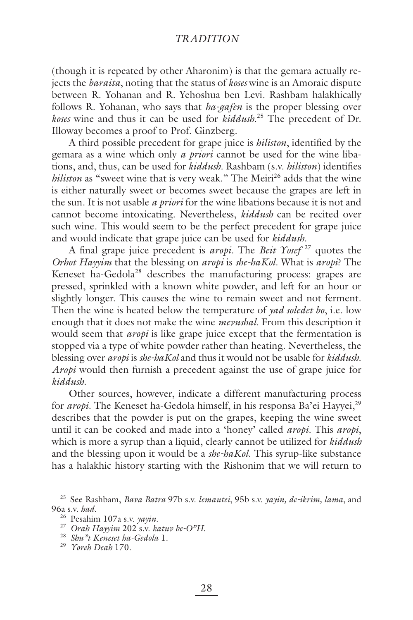(though it is repeated by other Aharonim) is that the gemara actually rejects the *baraita*, noting that the status of *koses* wine is an Amoraic dispute between R. Yohanan and R. Yehoshua ben Levi. Rashbam halakhically follows R. Yohanan, who says that *ha-gafen* is the proper blessing over *koses* wine and thus it can be used for *kiddush*. 25 The precedent of Dr. Illoway becomes a proof to Prof. Ginzberg.

A third possible precedent for grape juice is *hiliston*, identified by the gemara as a wine which only *a priori* cannot be used for the wine libations, and, thus, can be used for *kiddush*. Rashbam (s.v. *hiliston*) identifies *hiliston* as "sweet wine that is very weak." The Meiri<sup>26</sup> adds that the wine is either naturally sweet or becomes sweet because the grapes are left in the sun. It is not usable *a priori* for the wine libations because it is not and cannot become intoxicating. Nevertheless, *kiddush* can be recited over such wine. This would seem to be the perfect precedent for grape juice and would indicate that grape juice can be used for *kiddush*.

A final grape juice precedent is *aropi*. The *Beit Yosef*<sup>27</sup> quotes the *Orhot Hayyim* that the blessing on *aropi* is *she-haKol*. What is *aropi*? The Keneset ha-Gedola<sup>28</sup> describes the manufacturing process: grapes are pressed, sprinkled with a known white powder, and left for an hour or slightly longer. This causes the wine to remain sweet and not ferment. Then the wine is heated below the temperature of *yad soledet bo*, i.e. low enough that it does not make the wine *mevushal*. From this description it would seem that *aropi* is like grape juice except that the fermentation is stopped via a type of white powder rather than heating. Nevertheless, the blessing over *aropi* is *she-haKol* and thus it would not be usable for *kiddush*. *Aropi* would then furnish a precedent against the use of grape juice for *kiddush*.

Other sources, however, indicate a different manufacturing process for *aropi*. The Keneset ha-Gedola himself, in his responsa Ba'ei Hayyei,<sup>29</sup> describes that the powder is put on the grapes, keeping the wine sweet until it can be cooked and made into a 'honey' called *aropi*. This *aropi*, which is more a syrup than a liquid, clearly cannot be utilized for *kiddush* and the blessing upon it would be a *she-haKol*. This syrup-like substance has a halakhic history starting with the Rishonim that we will return to

<sup>25</sup> See Rashbam, *Bava Batra* 97b s.v. *lemautei*, 95b s.v. *yayin, de-ikrim, lama*, and 96a s.v. *had*.

<sup>26</sup> Pesahim 107a s.v. *yayin*.

<sup>27</sup> *Orah Hayyim* 202 s.v. *katuv be-O"H*.

<sup>28</sup> *Shu"t Keneset ha-Gedola* 1.

<sup>29</sup> *Yoreh Deah* 170.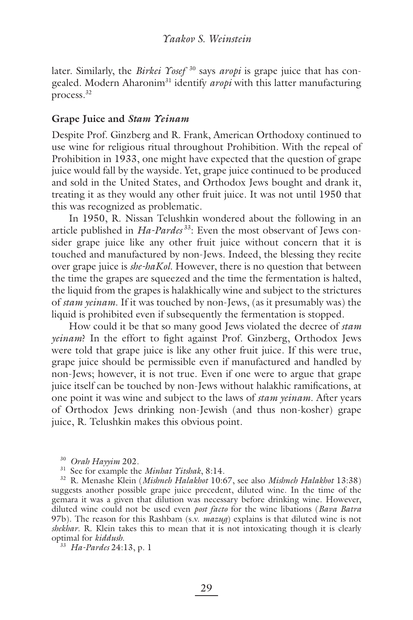later. Similarly, the *Birkei Yosef*<sup>30</sup> says *aropi* is grape juice that has congealed. Modern Aharonim<sup>31</sup> identify *aropi* with this latter manufacturing process.32

## **Grape Juice and** *Stam Yeinam*

Despite Prof. Ginzberg and R. Frank, American Orthodoxy continued to use wine for religious ritual throughout Prohibition. With the repeal of Prohibition in 1933, one might have expected that the question of grape juice would fall by the wayside. Yet, grape juice continued to be produced and sold in the United States, and Orthodox Jews bought and drank it, treating it as they would any other fruit juice. It was not until 1950 that this was recognized as problematic.

In 1950, R. Nissan Telushkin wondered about the following in an article published in *Ha-Pardes*<sup>33</sup>: Even the most observant of Jews consider grape juice like any other fruit juice without concern that it is touched and manufactured by non-Jews. Indeed, the blessing they recite over grape juice is *she-haKol*. However, there is no question that between the time the grapes are squeezed and the time the fermentation is halted, the liquid from the grapes is halakhically wine and subject to the strictures of *stam yeinam*. If it was touched by non-Jews, (as it presumably was) the liquid is prohibited even if subsequently the fermentation is stopped.

How could it be that so many good Jews violated the decree of *stam yeinam*? In the effort to fight against Prof. Ginzberg, Orthodox Jews were told that grape juice is like any other fruit juice. If this were true, grape juice should be permissible even if manufactured and handled by non-Jews; however, it is not true. Even if one were to argue that grape juice itself can be touched by non-Jews without halakhic ramifications, at one point it was wine and subject to the laws of *stam yeinam*. After years of Orthodox Jews drinking non-Jewish (and thus non-kosher) grape juice, R. Telushkin makes this obvious point.

<sup>30</sup> *Orah Hayyim* 202.

31 See for example the *Minhat Yitshak*, 8:14.

32 R. Menashe Klein (*Mishneh Halakhot* 10:67, see also *Mishneh Halakhot* 13:38) suggests another possible grape juice precedent, diluted wine. In the time of the gemara it was a given that dilution was necessary before drinking wine. However, diluted wine could not be used even *post facto* for the wine libations (*Bava Batra* 97b). The reason for this Rashbam (s.v. *mazug*) explains is that diluted wine is not *shekhar*. R. Klein takes this to mean that it is not intoxicating though it is clearly optimal for *kiddush*.

<sup>33</sup> *Ha-Pardes* 24:13, p. 1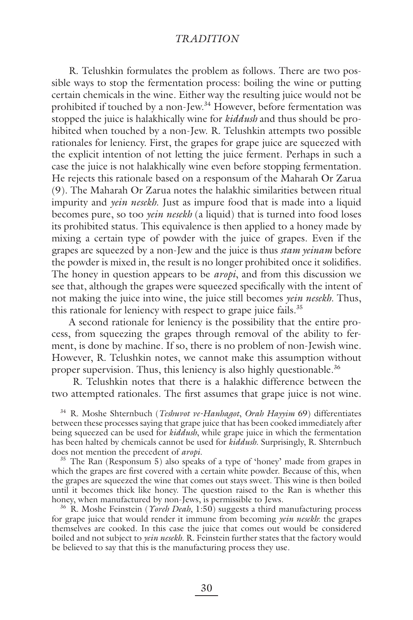R. Telushkin formulates the problem as follows. There are two possible ways to stop the fermentation process: boiling the wine or putting certain chemicals in the wine. Either way the resulting juice would not be prohibited if touched by a non-Jew.<sup>34</sup> However, before fermentation was stopped the juice is halakhically wine for *kiddush* and thus should be prohibited when touched by a non-Jew. R. Telushkin attempts two possible rationales for leniency. First, the grapes for grape juice are squeezed with the explicit intention of not letting the juice ferment. Perhaps in such a case the juice is not halakhically wine even before stopping fermentation. He rejects this rationale based on a responsum of the Maharah Or Zarua (9). The Maharah Or Zarua notes the halakhic similarities between ritual impurity and *yein nesekh*. Just as impure food that is made into a liquid becomes pure, so too *yein nesekh* (a liquid) that is turned into food loses its prohibited status. This equivalence is then applied to a honey made by mixing a certain type of powder with the juice of grapes. Even if the grapes are squeezed by a non-Jew and the juice is thus *stam yeinam* before the powder is mixed in, the result is no longer prohibited once it solidifies. The honey in question appears to be *aropi*, and from this discussion we see that, although the grapes were squeezed specifically with the intent of not making the juice into wine, the juice still becomes *yein nesekh*. Thus, this rationale for leniency with respect to grape juice fails.<sup>35</sup>

A second rationale for leniency is the possibility that the entire process, from squeezing the grapes through removal of the ability to ferment, is done by machine. If so, there is no problem of non-Jewish wine. However, R. Telushkin notes, we cannot make this assumption without proper supervision. Thus, this leniency is also highly questionable.<sup>36</sup>

 R. Telushkin notes that there is a halakhic difference between the two attempted rationales. The first assumes that grape juice is not wine.

34 R. Moshe Shternbuch (*Teshuvot ve-Hanhagot*, *Orah Hayyim* 69) differentiates between these processes saying that grape juice that has been cooked immediately after being squeezed can be used for *kiddush*, while grape juice in which the fermentation has been halted by chemicals cannot be used for *kiddush*. Surprisingly, R. Shternbuch does not mention the precedent of *aropi*.

<sup>35</sup> The Ran (Responsum 5) also speaks of a type of 'honey' made from grapes in which the grapes are first covered with a certain white powder. Because of this, when the grapes are squeezed the wine that comes out stays sweet. This wine is then boiled until it becomes thick like honey. The question raised to the Ran is whether this honey, when manufactured by non-Jews, is permissible to Jews.

36 R. Moshe Feinstein (*Yoreh Deah*, 1:50) suggests a third manufacturing process for grape juice that would render it immune from becoming *yein nesekh*: the grapes themselves are cooked. In this case the juice that comes out would be considered boiled and not subject to *yein nesekh*. R. Feinstein further states that the factory would be believed to say that this is the manufacturing process they use.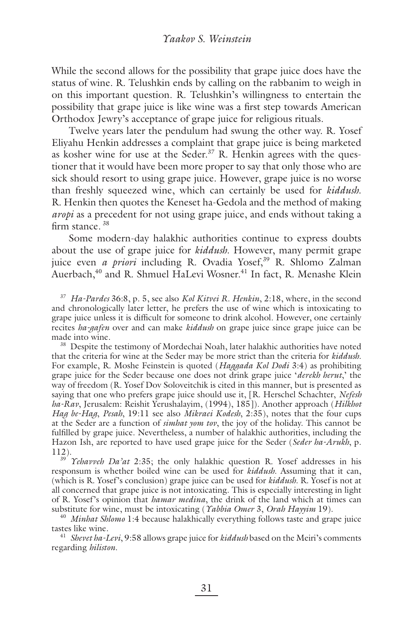While the second allows for the possibility that grape juice does have the status of wine. R. Telushkin ends by calling on the rabbanim to weigh in on this important question. R. Telushkin's willingness to entertain the possibility that grape juice is like wine was a first step towards American Orthodox Jewry's acceptance of grape juice for religious rituals.

Twelve years later the pendulum had swung the other way. R. Yosef Eliyahu Henkin addresses a complaint that grape juice is being marketed as kosher wine for use at the Seder.<sup>37</sup> R. Henkin agrees with the questioner that it would have been more proper to say that only those who are sick should resort to using grape juice. However, grape juice is no worse than freshly squeezed wine, which can certainly be used for *kiddush*. R. Henkin then quotes the Keneset ha-Gedola and the method of making *aropi* as a precedent for not using grape juice, and ends without taking a firm stance.  $38$ 

Some modern-day halakhic authorities continue to express doubts about the use of grape juice for *kiddush*. However, many permit grape juice even *a priori* including R. Ovadia Yosef,<sup>39</sup> R. Shlomo Zalman Auerbach,<sup>40</sup> and R. Shmuel HaLevi Wosner.<sup>41</sup> In fact, R. Menashe Klein

<sup>37</sup> *Ha-Pardes* 36:8, p. 5, see also *Kol Kitvei R. Henkin*, 2:18, where, in the second and chronologically later letter, he prefers the use of wine which is intoxicating to grape juice unless it is difficult for someone to drink alcohol. However, one certainly recites *ha-gafen* over and can make *kiddush* on grape juice since grape juice can be made into wine.<br><sup>38</sup> Despite the testimony of Mordechai Noah, later halakhic authorities have noted

that the criteria for wine at the Seder may be more strict than the criteria for *kiddush*. For example, R. Moshe Feinstein is quoted (*Haggada Kol Dodi* 3:4) as prohibiting grape juice for the Seder because one does not drink grape juice '*derekh herut*,' the way of freedom (R. Yosef Dov Soloveitchik is cited in this manner, but is presented as saying that one who prefers grape juice should use it, [R. Herschel Schachter, *Nefesh ha-Rav*, Jerusalem: Reishit Yerushalayim, (1994), 185]). Another approach (*Hilkhot Hag be-Hag*, *Pesah*, 19:11 see also *Mikraei Kodesh*, 2:35), notes that the four cups at the Seder are a function of *simhat yom tov*, the joy of the holiday. This cannot be fulfilled by grape juice. Nevertheless, a number of halakhic authorities, including the Hazon Ish, are reported to have used grape juice for the Seder (*Seder ha-Arukh*, p. 112). 39 *Yehavveh Da'at* 2:35; the only halakhic question R. Yosef addresses in his

responsum is whether boiled wine can be used for *kiddush*. Assuming that it can, (which is R. Yosef's conclusion) grape juice can be used for *kiddush*. R. Yosef is not at all concerned that grape juice is not intoxicating. This is especially interesting in light of R. Yosef's opinion that *hamar medina*, the drink of the land which at times can substitute for wine, must be intoxicating (*Yabbia Omer 3*, *Orah Hayyim* 19).

<sup>40</sup> *Minhat Shlomo* 1:4 because halakhically everything follows taste and grape juice tastes like wine.

<sup>41</sup> Shevet ha-Levi, 9:58 allows grape juice for *kiddush* based on the Meiri's comments regarding *hiliston*.